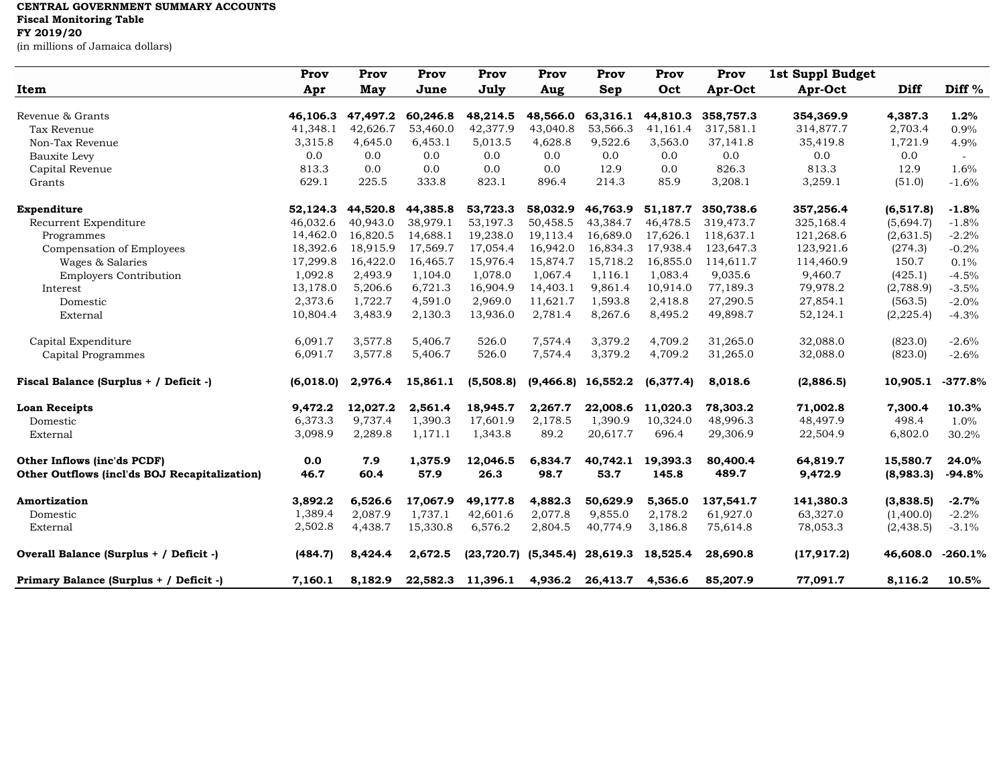## **CENTRAL GOVERNMENT SUMMARY ACCOUNTS**

**Fiscal Monitoring Table**

**FY 2019/20**

(in millions of Jamaica dollars)

|                                               | Prov      | Prov       | Prov     | Prov                                   | Prov     | Prov                 | Prov      | Prov      | 1st Suppl Budget |            |           |
|-----------------------------------------------|-----------|------------|----------|----------------------------------------|----------|----------------------|-----------|-----------|------------------|------------|-----------|
| Item                                          | Apr       | <b>May</b> | June     | July                                   | Aug      | <b>Sep</b>           | Oct       | Apr-Oct   | Apr-Oct          | Diff       | Diff $%$  |
|                                               |           |            |          |                                        |          |                      |           |           |                  |            |           |
| Revenue & Grants                              | 46,106.3  | 47,497.2   | 60,246.8 | 48,214.5                               | 48,566.0 | 63,316.1             | 44,810.3  | 358,757.3 | 354,369.9        | 4,387.3    | 1.2%      |
| Tax Revenue                                   | 41,348.1  | 42,626.7   | 53,460.0 | 42,377.9                               | 43,040.8 | 53,566.3             | 41,161.4  | 317,581.1 | 314,877.7        | 2,703.4    | 0.9%      |
| Non-Tax Revenue                               | 3,315.8   | 4,645.0    | 6,453.1  | 5,013.5                                | 4,628.8  | 9,522.6              | 3,563.0   | 37,141.8  | 35,419.8         | 1,721.9    | 4.9%      |
| Bauxite Levy                                  | 0.0       | 0.0        | 0.0      | 0.0                                    | 0.0      | 0.0                  | 0.0       | 0.0       | 0.0              | 0.0        | $\equiv$  |
| Capital Revenue                               | 813.3     | 0.0        | 0.0      | 0.0                                    | 0.0      | 12.9                 | 0.0       | 826.3     | 813.3            | 12.9       | 1.6%      |
| Grants                                        | 629.1     | 225.5      | 333.8    | 823.1                                  | 896.4    | 214.3                | 85.9      | 3,208.1   | 3,259.1          | (51.0)     | $-1.6%$   |
| Expenditure                                   | 52,124.3  | 44,520.8   | 44,385.8 | 53,723.3                               | 58,032.9 | 46,763.9             | 51,187.7  | 350,738.6 | 357,256.4        | (6, 517.8) | $-1.8%$   |
| Recurrent Expenditure                         | 46,032.6  | 40.943.0   | 38,979.1 | 53.197.3                               | 50,458.5 | 43.384.7             | 46.478.5  | 319,473.7 | 325,168.4        | (5,694.7)  | $-1.8%$   |
| Programmes                                    | 14,462.0  | 16,820.5   | 14,688.1 | 19,238.0                               | 19,113.4 | 16,689.0             | 17,626.1  | 118,637.1 | 121,268.6        | (2,631.5)  | $-2.2%$   |
| Compensation of Employees                     | 18,392.6  | 18,915.9   | 17,569.7 | 17,054.4                               | 16,942.0 | 16,834.3             | 17,938.4  | 123,647.3 | 123,921.6        | (274.3)    | $-0.2%$   |
| Wages & Salaries                              | 17,299.8  | 16,422.0   | 16,465.7 | 15,976.4                               | 15,874.7 | 15,718.2             | 16,855.0  | 114,611.7 | 114,460.9        | 150.7      | 0.1%      |
| <b>Employers Contribution</b>                 | 1,092.8   | 2,493.9    | 1,104.0  | 1,078.0                                | 1,067.4  | 1.116.1              | 1.083.4   | 9,035.6   | 9,460.7          | (425.1)    | $-4.5%$   |
| Interest                                      | 13,178.0  | 5,206.6    | 6,721.3  | 16,904.9                               | 14,403.1 | 9,861.4              | 10,914.0  | 77,189.3  | 79,978.2         | (2,788.9)  | $-3.5%$   |
| Domestic                                      | 2,373.6   | 1,722.7    | 4,591.0  | 2,969.0                                | 11,621.7 | 1,593.8              | 2,418.8   | 27,290.5  | 27,854.1         | (563.5)    | $-2.0%$   |
| External                                      | 10,804.4  | 3,483.9    | 2,130.3  | 13,936.0                               | 2,781.4  | 8,267.6              | 8,495.2   | 49,898.7  | 52,124.1         | (2, 225.4) | $-4.3%$   |
| Capital Expenditure                           | 6,091.7   | 3,577.8    | 5,406.7  | 526.0                                  | 7,574.4  | 3,379.2              | 4,709.2   | 31,265.0  | 32,088.0         | (823.0)    | $-2.6%$   |
| Capital Programmes                            | 6,091.7   | 3,577.8    | 5,406.7  | 526.0                                  | 7,574.4  | 3,379.2              | 4,709.2   | 31,265.0  | 32,088.0         | (823.0)    | $-2.6%$   |
| Fiscal Balance (Surplus + / Deficit -)        | (6,018.0) | 2,976.4    | 15,861.1 | (5,508.8)                              |          | $(9,466.8)$ 16,552.2 | (6,377.4) | 8,018.6   | (2,886.5)        | 10,905.1   | $-377.8%$ |
| <b>Loan Receipts</b>                          | 9,472.2   | 12,027.2   | 2,561.4  | 18,945.7                               | 2,267.7  | 22,008.6             | 11,020.3  | 78,303.2  | 71,002.8         | 7,300.4    | 10.3%     |
| Domestic                                      | 6,373.3   | 9,737.4    | 1,390.3  | 17,601.9                               | 2,178.5  | 1,390.9              | 10,324.0  | 48,996.3  | 48,497.9         | 498.4      | 1.0%      |
| External                                      | 3,098.9   | 2,289.8    | 1,171.1  | 1,343.8                                | 89.2     | 20,617.7             | 696.4     | 29,306.9  | 22,504.9         | 6,802.0    | 30.2%     |
| Other Inflows (inc'ds PCDF)                   | 0.0       | 7.9        | 1,375.9  | 12,046.5                               | 6,834.7  | 40,742.1             | 19,393.3  | 80,400.4  | 64,819.7         | 15,580.7   | 24.0%     |
| Other Outflows (incl'ds BOJ Recapitalization) | 46.7      | 60.4       | 57.9     | 26.3                                   | 98.7     | 53.7                 | 145.8     | 489.7     | 9,472.9          | (8,983.3)  | $-94.8%$  |
| Amortization                                  | 3,892.2   | 6,526.6    | 17,067.9 | 49,177.8                               | 4,882.3  | 50,629.9             | 5,365.0   | 137,541.7 | 141,380.3        | (3,838.5)  | $-2.7%$   |
| Domestic                                      | 1,389.4   | 2,087.9    | 1,737.1  | 42,601.6                               | 2,077.8  | 9,855.0              | 2,178.2   | 61,927.0  | 63,327.0         | (1,400.0)  | $-2.2%$   |
| External                                      | 2,502.8   | 4,438.7    | 15,330.8 | 6,576.2                                | 2,804.5  | 40,774.9             | 3,186.8   | 75,614.8  | 78,053.3         | (2, 438.5) | $-3.1%$   |
| Overall Balance (Surplus + / Deficit -)       | (484.7)   | 8,424.4    | 2,672.5  | $(23, 720.7)$ $(5, 345.4)$ $28, 619.3$ |          |                      | 18,525.4  | 28,690.8  | (17, 917.2)      | 46,608.0   | $-260.1%$ |
| Primary Balance (Surplus + / Deficit -)       | 7,160.1   | 8,182.9    | 22,582.3 | 11,396.1                               | 4,936.2  | 26,413.7             | 4,536.6   | 85,207.9  | 77,091.7         | 8,116.2    | 10.5%     |